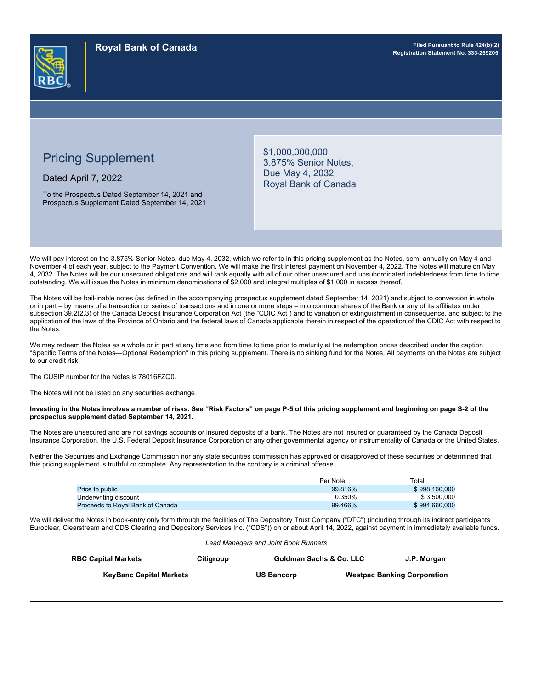

# Pricing Supplement

Dated April 7, 2022

To the Prospectus Dated September 14, 2021 and Prospectus Supplement Dated September 14, 2021 \$1,000,000,000 3.875% Senior Notes, Due May 4, 2032 Royal Bank of Canada

We will pay interest on the 3.875% Senior Notes, due May 4, 2032, which we refer to in this pricing supplement as the Notes, semi-annually on May 4 and November 4 of each year, subject to the Payment Convention. We will make the first interest payment on November 4, 2022. The Notes will mature on May 4, 2032. The Notes will be our unsecured obligations and will rank equally with all of our other unsecured and unsubordinated indebtedness from time to time outstanding. We will issue the Notes in minimum denominations of \$2,000 and integral multiples of \$1,000 in excess thereof.

The Notes will be bail-inable notes (as defined in the accompanying prospectus supplement dated September 14, 2021) and subject to conversion in whole or in part – by means of a transaction or series of transactions and in one or more steps – into common shares of the Bank or any of its affiliates under subsection 39.2(2.3) of the Canada Deposit Insurance Corporation Act (the "CDIC Act") and to variation or extinguishment in consequence, and subject to the application of the laws of the Province of Ontario and the federal laws of Canada applicable therein in respect of the operation of the CDIC Act with respect to the Notes.

We may redeem the Notes as a whole or in part at any time and from time to time prior to maturity at the redemption prices described under the caption "Specific Terms of the Notes—Optional Redemption" in this pricing supplement. There is no sinking fund for the Notes. All payments on the Notes are subject to our credit risk.

The CUSIP number for the Notes is 78016FZQ0.

The Notes will not be listed on any securities exchange.

#### **Investing in the Notes involves a number of risks. See "Risk Factors" on page P-5 of this pricing supplement and beginning on page S-2 of the prospectus supplement dated September 14, 2021.**

The Notes are unsecured and are not savings accounts or insured deposits of a bank. The Notes are not insured or guaranteed by the Canada Deposit Insurance Corporation, the U.S. Federal Deposit Insurance Corporation or any other governmental agency or instrumentality of Canada or the United States.

Neither the Securities and Exchange Commission nor any state securities commission has approved or disapproved of these securities or determined that this pricing supplement is truthful or complete. Any representation to the contrary is a criminal offense.

|                                  | Per Note | Total         |
|----------------------------------|----------|---------------|
| <b>Price to public</b>           | 99.816%  | \$998.160.000 |
| Underwriting discount            | 0.350%   | \$3.500.000   |
| Proceeds to Roval Bank of Canada | 99.466%  | \$994.660.000 |

We will deliver the Notes in book-entry only form through the facilities of The Depository Trust Company ("DTC") (including through its indirect participants Euroclear, Clearstream and CDS Clearing and Depository Services Inc. ("CDS")) on or about April 14, 2022, against payment in immediately available funds.

|  | Lead Managers and Joint Book Runners |
|--|--------------------------------------|
|--|--------------------------------------|

| <b>RBC Capital Markets</b>     | Citiaroup | <b>Goldman Sachs &amp; Co. LLC</b> | J.P. Morgan                        |
|--------------------------------|-----------|------------------------------------|------------------------------------|
| <b>KevBanc Capital Markets</b> |           | <b>US Bancorp</b>                  | <b>Westpac Banking Corporation</b> |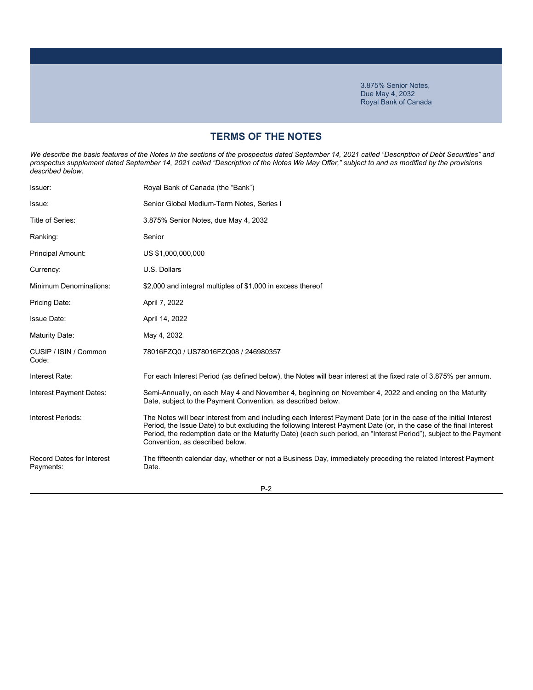# **TERMS OF THE NOTES**

We describe the basic features of the Notes in the sections of the prospectus dated September 14, 2021 called "Description of Debt Securities" and *prospectus supplement dated September 14, 2021 called "Description of the Notes We May Offer," subject to and as modified by the provisions described below.*

| Royal Bank of Canada (the "Bank")                                                                                                                                                                                                                                                                                                                                                                  |
|----------------------------------------------------------------------------------------------------------------------------------------------------------------------------------------------------------------------------------------------------------------------------------------------------------------------------------------------------------------------------------------------------|
| Senior Global Medium-Term Notes, Series I                                                                                                                                                                                                                                                                                                                                                          |
| 3.875% Senior Notes, due May 4, 2032                                                                                                                                                                                                                                                                                                                                                               |
| Senior                                                                                                                                                                                                                                                                                                                                                                                             |
| US \$1,000,000,000                                                                                                                                                                                                                                                                                                                                                                                 |
| U.S. Dollars                                                                                                                                                                                                                                                                                                                                                                                       |
| \$2,000 and integral multiples of \$1,000 in excess thereof                                                                                                                                                                                                                                                                                                                                        |
| April 7, 2022                                                                                                                                                                                                                                                                                                                                                                                      |
| April 14, 2022                                                                                                                                                                                                                                                                                                                                                                                     |
| May 4, 2032                                                                                                                                                                                                                                                                                                                                                                                        |
| 78016FZQ0 / US78016FZQ08 / 246980357                                                                                                                                                                                                                                                                                                                                                               |
| For each Interest Period (as defined below), the Notes will bear interest at the fixed rate of 3.875% per annum.                                                                                                                                                                                                                                                                                   |
| Semi-Annually, on each May 4 and November 4, beginning on November 4, 2022 and ending on the Maturity<br>Date, subject to the Payment Convention, as described below.                                                                                                                                                                                                                              |
| The Notes will bear interest from and including each Interest Payment Date (or in the case of the initial Interest<br>Period, the Issue Date) to but excluding the following Interest Payment Date (or, in the case of the final Interest<br>Period, the redemption date or the Maturity Date) (each such period, an "Interest Period"), subject to the Payment<br>Convention, as described below. |
| The fifteenth calendar day, whether or not a Business Day, immediately preceding the related Interest Payment<br>Date.                                                                                                                                                                                                                                                                             |
|                                                                                                                                                                                                                                                                                                                                                                                                    |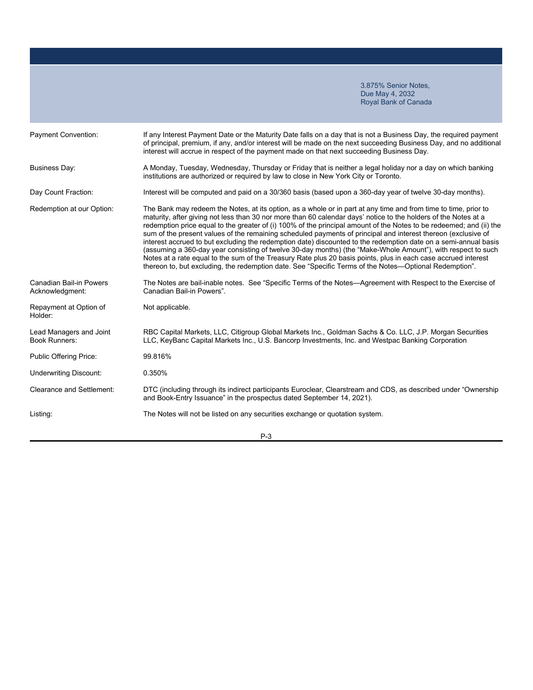| <b>Payment Convention:</b>                        | If any Interest Payment Date or the Maturity Date falls on a day that is not a Business Day, the required payment<br>of principal, premium, if any, and/or interest will be made on the next succeeding Business Day, and no additional<br>interest will accrue in respect of the payment made on that next succeeding Business Day.                                                                                                                                                                                                                                                                                                                                                                                                                                                                                                                                                                                                       |
|---------------------------------------------------|--------------------------------------------------------------------------------------------------------------------------------------------------------------------------------------------------------------------------------------------------------------------------------------------------------------------------------------------------------------------------------------------------------------------------------------------------------------------------------------------------------------------------------------------------------------------------------------------------------------------------------------------------------------------------------------------------------------------------------------------------------------------------------------------------------------------------------------------------------------------------------------------------------------------------------------------|
| <b>Business Day:</b>                              | A Monday, Tuesday, Wednesday, Thursday or Friday that is neither a legal holiday nor a day on which banking<br>institutions are authorized or required by law to close in New York City or Toronto.                                                                                                                                                                                                                                                                                                                                                                                                                                                                                                                                                                                                                                                                                                                                        |
| Day Count Fraction:                               | Interest will be computed and paid on a 30/360 basis (based upon a 360-day year of twelve 30-day months).                                                                                                                                                                                                                                                                                                                                                                                                                                                                                                                                                                                                                                                                                                                                                                                                                                  |
| Redemption at our Option:                         | The Bank may redeem the Notes, at its option, as a whole or in part at any time and from time to time, prior to<br>maturity, after giving not less than 30 nor more than 60 calendar days' notice to the holders of the Notes at a<br>redemption price equal to the greater of (i) 100% of the principal amount of the Notes to be redeemed; and (ii) the<br>sum of the present values of the remaining scheduled payments of principal and interest thereon (exclusive of<br>interest accrued to but excluding the redemption date) discounted to the redemption date on a semi-annual basis<br>(assuming a 360-day year consisting of twelve 30-day months) (the "Make-Whole Amount"), with respect to such<br>Notes at a rate equal to the sum of the Treasury Rate plus 20 basis points, plus in each case accrued interest<br>thereon to, but excluding, the redemption date. See "Specific Terms of the Notes--Optional Redemption". |
| <b>Canadian Bail-in Powers</b><br>Acknowledgment: | The Notes are bail-inable notes. See "Specific Terms of the Notes—Agreement with Respect to the Exercise of<br>Canadian Bail-in Powers".                                                                                                                                                                                                                                                                                                                                                                                                                                                                                                                                                                                                                                                                                                                                                                                                   |
| Repayment at Option of<br>Holder:                 | Not applicable.                                                                                                                                                                                                                                                                                                                                                                                                                                                                                                                                                                                                                                                                                                                                                                                                                                                                                                                            |
| Lead Managers and Joint<br><b>Book Runners:</b>   | RBC Capital Markets, LLC, Citigroup Global Markets Inc., Goldman Sachs & Co. LLC, J.P. Morgan Securities<br>LLC, KeyBanc Capital Markets Inc., U.S. Bancorp Investments, Inc. and Westpac Banking Corporation                                                                                                                                                                                                                                                                                                                                                                                                                                                                                                                                                                                                                                                                                                                              |
| Public Offering Price:                            | 99.816%                                                                                                                                                                                                                                                                                                                                                                                                                                                                                                                                                                                                                                                                                                                                                                                                                                                                                                                                    |
| <b>Underwriting Discount:</b>                     | 0.350%                                                                                                                                                                                                                                                                                                                                                                                                                                                                                                                                                                                                                                                                                                                                                                                                                                                                                                                                     |
| Clearance and Settlement:                         | DTC (including through its indirect participants Euroclear, Clearstream and CDS, as described under "Ownership<br>and Book-Entry Issuance" in the prospectus dated September 14, 2021).                                                                                                                                                                                                                                                                                                                                                                                                                                                                                                                                                                                                                                                                                                                                                    |
| Listing:                                          | The Notes will not be listed on any securities exchange or quotation system.                                                                                                                                                                                                                                                                                                                                                                                                                                                                                                                                                                                                                                                                                                                                                                                                                                                               |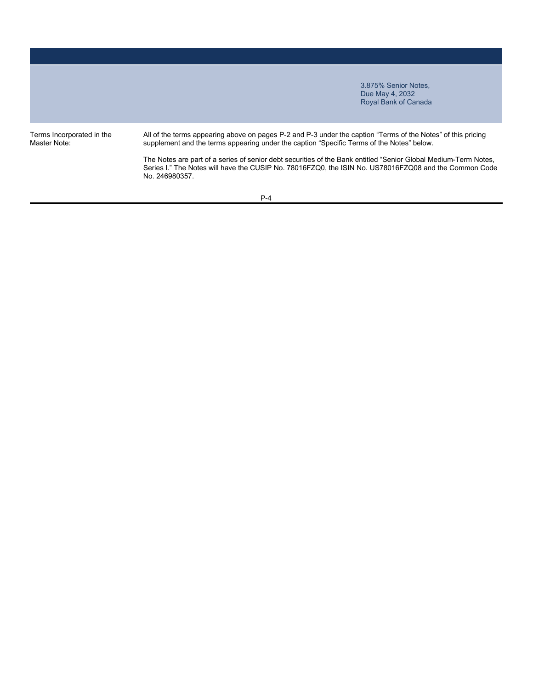Terms Incorporated in the Master Note:

All of the terms appearing above on pages P-2 and P-3 under the caption "Terms of the Notes" of this pricing supplement and the terms appearing under the caption "Specific Terms of the Notes" below.

The Notes are part of a series of senior debt securities of the Bank entitled "Senior Global Medium-Term Notes, Series I." The Notes will have the CUSIP No. 78016FZQ0, the ISIN No. US78016FZQ08 and the Common Code No. 246980357.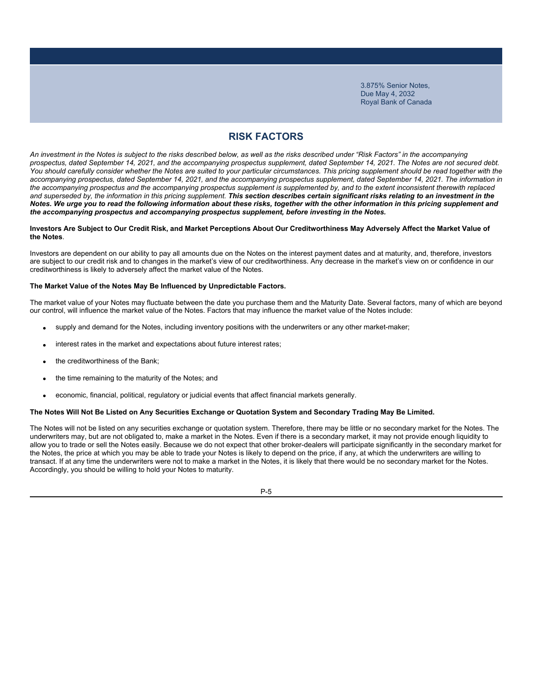# **RISK FACTORS**

*An investment in the Notes is subject to the risks described below, as well as the risks described under "Risk Factors" in the accompanying prospectus, dated September 14, 2021, and the accompanying prospectus supplement, dated September 14, 2021. The Notes are not secured debt.*  You should carefully consider whether the Notes are suited to your particular circumstances. This pricing supplement should be read together with the *accompanying prospectus, dated September 14, 2021, and the accompanying prospectus supplement, dated September 14, 2021. The information in the accompanying prospectus and the accompanying prospectus supplement is supplemented by, and to the extent inconsistent therewith replaced*  and superseded by, the information in this pricing supplement. This section describes certain significant risks relating to an investment in the *Notes. We urge you to read the following information about these risks, together with the other information in this pricing supplement and the accompanying prospectus and accompanying prospectus supplement, before investing in the Notes.*

### **Investors Are Subject to Our Credit Risk, and Market Perceptions About Our Creditworthiness May Adversely Affect the Market Value of the Notes**.

Investors are dependent on our ability to pay all amounts due on the Notes on the interest payment dates and at maturity, and, therefore, investors are subject to our credit risk and to changes in the market's view of our creditworthiness. Any decrease in the market's view on or confidence in our creditworthiness is likely to adversely affect the market value of the Notes.

### **The Market Value of the Notes May Be Influenced by Unpredictable Factors.**

The market value of your Notes may fluctuate between the date you purchase them and the Maturity Date. Several factors, many of which are beyond our control, will influence the market value of the Notes. Factors that may influence the market value of the Notes include:

- supply and demand for the Notes, including inventory positions with the underwriters or any other market-maker;
- interest rates in the market and expectations about future interest rates;
- the creditworthiness of the Bank;
- the time remaining to the maturity of the Notes; and
- economic, financial, political, regulatory or judicial events that affect financial markets generally.

### **The Notes Will Not Be Listed on Any Securities Exchange or Quotation System and Secondary Trading May Be Limited.**

The Notes will not be listed on any securities exchange or quotation system. Therefore, there may be little or no secondary market for the Notes. The underwriters may, but are not obligated to, make a market in the Notes. Even if there is a secondary market, it may not provide enough liquidity to allow you to trade or sell the Notes easily. Because we do not expect that other broker-dealers will participate significantly in the secondary market for the Notes, the price at which you may be able to trade your Notes is likely to depend on the price, if any, at which the underwriters are willing to transact. If at any time the underwriters were not to make a market in the Notes, it is likely that there would be no secondary market for the Notes. Accordingly, you should be willing to hold your Notes to maturity.

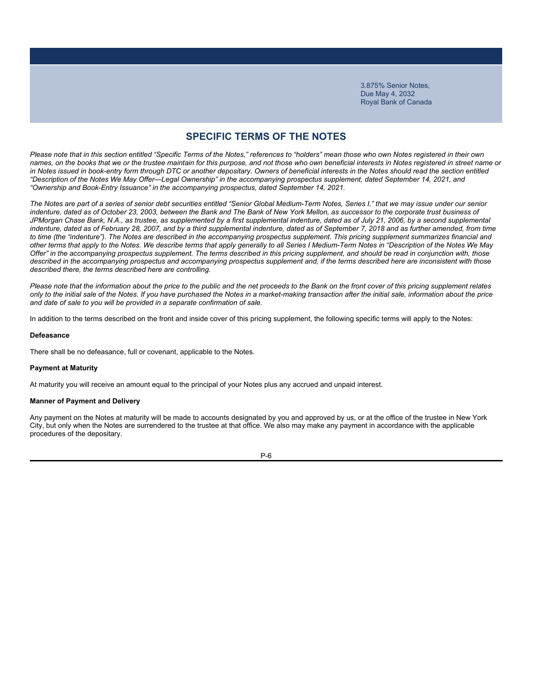### **SPECIFIC TERMS OF THE NOTES**

*Please note that in this section entitled "Specific Terms of the Notes," references to "holders" mean those who own Notes registered in their own names, on the books that we or the trustee maintain for this purpose, and not those who own beneficial interests in Notes registered in street name or*  in Notes issued in book-entry form through DTC or another depositary. Owners of beneficial interests in the Notes should read the section entitled *"Description of the Notes We May Offer—Legal Ownership" in the accompanying prospectus supplement, dated September 14, 2021, and "Ownership and Book-Entry Issuance" in the accompanying prospectus, dated September 14, 2021.*

*The Notes are part of a series of senior debt securities entitled "Senior Global Medium-Term Notes, Series I," that we may issue under our senior*  indenture, dated as of October 23, 2003, between the Bank and The Bank of New York Mellon, as successor to the corporate trust business of JPMorgan Chase Bank, N.A., as trustee, as supplemented by a first supplemental indenture, dated as of July 21, 2006, by a second supplemental indenture, dated as of February 28, 2007, and by a third supplemental indenture, dated as of September 7, 2018 and as further amended, from time *to time (the "indenture"). The Notes are described in the accompanying prospectus supplement. This pricing supplement summarizes financial and other terms that apply to the Notes. We describe terms that apply generally to all Series I Medium-Term Notes in "Description of the Notes We May Offer" in the accompanying prospectus supplement. The terms described in this pricing supplement, and should be read in conjunction with, those described in the accompanying prospectus and accompanying prospectus supplement and, if the terms described here are inconsistent with those described there, the terms described here are controlling.*

*Please note that the information about the price to the public and the net proceeds to the Bank on the front cover of this pricing supplement relates only to the initial sale of the Notes. If you have purchased the Notes in a market-making transaction after the initial sale, information about the price and date of sale to you will be provided in a separate confirmation of sale.*

In addition to the terms described on the front and inside cover of this pricing supplement, the following specific terms will apply to the Notes:

#### **Defeasance**

There shall be no defeasance, full or covenant, applicable to the Notes.

### **Payment at Maturity**

At maturity you will receive an amount equal to the principal of your Notes plus any accrued and unpaid interest.

### **Manner of Payment and Delivery**

Any payment on the Notes at maturity will be made to accounts designated by you and approved by us, or at the office of the trustee in New York City, but only when the Notes are surrendered to the trustee at that office. We also may make any payment in accordance with the applicable procedures of the depositary.

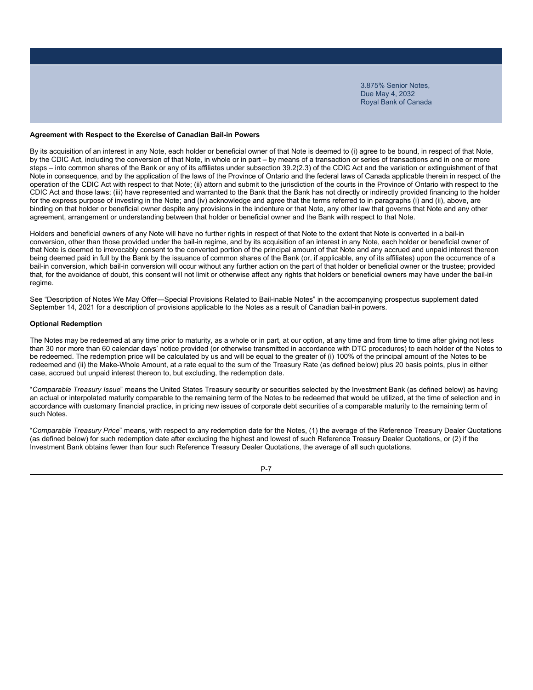#### **Agreement with Respect to the Exercise of Canadian Bail-in Powers**

By its acquisition of an interest in any Note, each holder or beneficial owner of that Note is deemed to (i) agree to be bound, in respect of that Note, by the CDIC Act, including the conversion of that Note, in whole or in part – by means of a transaction or series of transactions and in one or more steps – into common shares of the Bank or any of its affiliates under subsection 39.2(2.3) of the CDIC Act and the variation or extinguishment of that Note in consequence, and by the application of the laws of the Province of Ontario and the federal laws of Canada applicable therein in respect of the operation of the CDIC Act with respect to that Note; (ii) attorn and submit to the jurisdiction of the courts in the Province of Ontario with respect to the CDIC Act and those laws; (iii) have represented and warranted to the Bank that the Bank has not directly or indirectly provided financing to the holder for the express purpose of investing in the Note; and (iv) acknowledge and agree that the terms referred to in paragraphs (i) and (ii), above, are binding on that holder or beneficial owner despite any provisions in the indenture or that Note, any other law that governs that Note and any other agreement, arrangement or understanding between that holder or beneficial owner and the Bank with respect to that Note.

Holders and beneficial owners of any Note will have no further rights in respect of that Note to the extent that Note is converted in a bail-in conversion, other than those provided under the bail-in regime, and by its acquisition of an interest in any Note, each holder or beneficial owner of that Note is deemed to irrevocably consent to the converted portion of the principal amount of that Note and any accrued and unpaid interest thereon being deemed paid in full by the Bank by the issuance of common shares of the Bank (or, if applicable, any of its affiliates) upon the occurrence of a bail-in conversion, which bail-in conversion will occur without any further action on the part of that holder or beneficial owner or the trustee; provided that, for the avoidance of doubt, this consent will not limit or otherwise affect any rights that holders or beneficial owners may have under the bail-in regime.

See "Description of Notes We May Offer―Special Provisions Related to Bail-inable Notes" in the accompanying prospectus supplement dated September 14, 2021 for a description of provisions applicable to the Notes as a result of Canadian bail-in powers.

#### **Optional Redemption**

The Notes may be redeemed at any time prior to maturity, as a whole or in part, at our option, at any time and from time to time after giving not less than 30 nor more than 60 calendar days' notice provided (or otherwise transmitted in accordance with DTC procedures) to each holder of the Notes to be redeemed. The redemption price will be calculated by us and will be equal to the greater of (i) 100% of the principal amount of the Notes to be redeemed and (ii) the Make-Whole Amount, at a rate equal to the sum of the Treasury Rate (as defined below) plus 20 basis points, plus in either case, accrued but unpaid interest thereon to, but excluding, the redemption date.

"*Comparable Treasury Issue*" means the United States Treasury security or securities selected by the Investment Bank (as defined below) as having an actual or interpolated maturity comparable to the remaining term of the Notes to be redeemed that would be utilized, at the time of selection and in accordance with customary financial practice, in pricing new issues of corporate debt securities of a comparable maturity to the remaining term of such Notes.

"*Comparable Treasury Price*" means, with respect to any redemption date for the Notes, (1) the average of the Reference Treasury Dealer Quotations (as defined below) for such redemption date after excluding the highest and lowest of such Reference Treasury Dealer Quotations, or (2) if the Investment Bank obtains fewer than four such Reference Treasury Dealer Quotations, the average of all such quotations.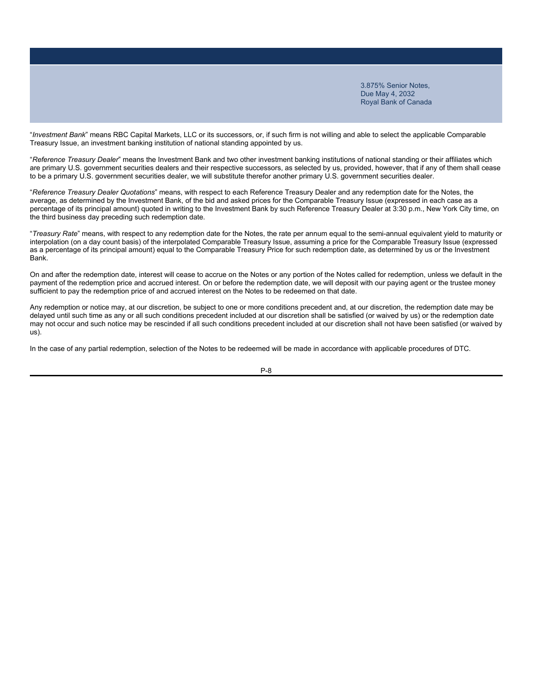"*Investment Bank*" means RBC Capital Markets, LLC or its successors, or, if such firm is not willing and able to select the applicable Comparable Treasury Issue, an investment banking institution of national standing appointed by us.

"*Reference Treasury Dealer*" means the Investment Bank and two other investment banking institutions of national standing or their affiliates which are primary U.S. government securities dealers and their respective successors, as selected by us, provided, however, that if any of them shall cease to be a primary U.S. government securities dealer, we will substitute therefor another primary U.S. government securities dealer.

"*Reference Treasury Dealer Quotations*" means, with respect to each Reference Treasury Dealer and any redemption date for the Notes, the average, as determined by the Investment Bank, of the bid and asked prices for the Comparable Treasury Issue (expressed in each case as a percentage of its principal amount) quoted in writing to the Investment Bank by such Reference Treasury Dealer at 3:30 p.m., New York City time, on the third business day preceding such redemption date.

"*Treasury Rate*" means, with respect to any redemption date for the Notes, the rate per annum equal to the semi-annual equivalent yield to maturity or interpolation (on a day count basis) of the interpolated Comparable Treasury Issue, assuming a price for the Comparable Treasury Issue (expressed as a percentage of its principal amount) equal to the Comparable Treasury Price for such redemption date, as determined by us or the Investment Bank.

On and after the redemption date, interest will cease to accrue on the Notes or any portion of the Notes called for redemption, unless we default in the payment of the redemption price and accrued interest. On or before the redemption date, we will deposit with our paying agent or the trustee money sufficient to pay the redemption price of and accrued interest on the Notes to be redeemed on that date.

Any redemption or notice may, at our discretion, be subject to one or more conditions precedent and, at our discretion, the redemption date may be delayed until such time as any or all such conditions precedent included at our discretion shall be satisfied (or waived by us) or the redemption date may not occur and such notice may be rescinded if all such conditions precedent included at our discretion shall not have been satisfied (or waived by us).

In the case of any partial redemption, selection of the Notes to be redeemed will be made in accordance with applicable procedures of DTC.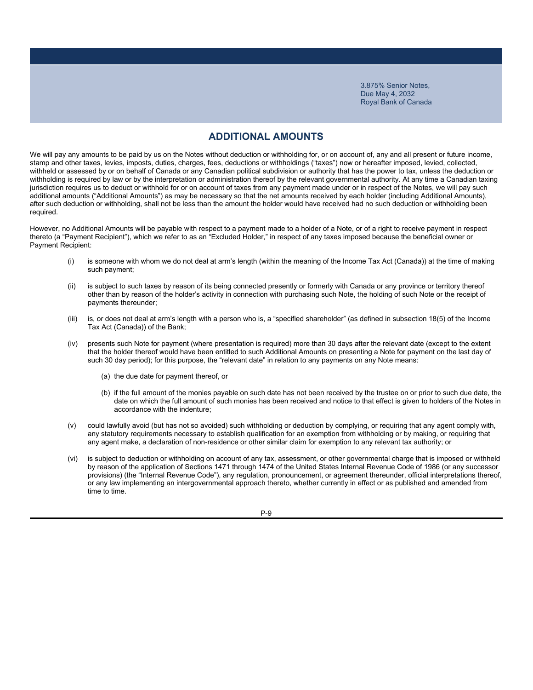### **ADDITIONAL AMOUNTS**

We will pay any amounts to be paid by us on the Notes without deduction or withholding for, or on account of, any and all present or future income, stamp and other taxes, levies, imposts, duties, charges, fees, deductions or withholdings ("taxes") now or hereafter imposed, levied, collected, withheld or assessed by or on behalf of Canada or any Canadian political subdivision or authority that has the power to tax, unless the deduction or withholding is required by law or by the interpretation or administration thereof by the relevant governmental authority. At any time a Canadian taxing jurisdiction requires us to deduct or withhold for or on account of taxes from any payment made under or in respect of the Notes, we will pay such additional amounts ("Additional Amounts") as may be necessary so that the net amounts received by each holder (including Additional Amounts), after such deduction or withholding, shall not be less than the amount the holder would have received had no such deduction or withholding been required.

However, no Additional Amounts will be payable with respect to a payment made to a holder of a Note, or of a right to receive payment in respect thereto (a "Payment Recipient"), which we refer to as an "Excluded Holder," in respect of any taxes imposed because the beneficial owner or Payment Recipient:

- (i) is someone with whom we do not deal at arm's length (within the meaning of the Income Tax Act (Canada)) at the time of making such payment;
- (ii) is subject to such taxes by reason of its being connected presently or formerly with Canada or any province or territory thereof other than by reason of the holder's activity in connection with purchasing such Note, the holding of such Note or the receipt of payments thereunder;
- (iii) is, or does not deal at arm's length with a person who is, a "specified shareholder" (as defined in subsection 18(5) of the Income Tax Act (Canada)) of the Bank;
- (iv) presents such Note for payment (where presentation is required) more than 30 days after the relevant date (except to the extent that the holder thereof would have been entitled to such Additional Amounts on presenting a Note for payment on the last day of such 30 day period); for this purpose, the "relevant date" in relation to any payments on any Note means:
	- (a) the due date for payment thereof, or
	- (b) if the full amount of the monies payable on such date has not been received by the trustee on or prior to such due date, the date on which the full amount of such monies has been received and notice to that effect is given to holders of the Notes in accordance with the indenture;
- (v) could lawfully avoid (but has not so avoided) such withholding or deduction by complying, or requiring that any agent comply with, any statutory requirements necessary to establish qualification for an exemption from withholding or by making, or requiring that any agent make, a declaration of non-residence or other similar claim for exemption to any relevant tax authority; or
- (vi) is subject to deduction or withholding on account of any tax, assessment, or other governmental charge that is imposed or withheld by reason of the application of Sections 1471 through 1474 of the United States Internal Revenue Code of 1986 (or any successor provisions) (the "Internal Revenue Code"), any regulation, pronouncement, or agreement thereunder, official interpretations thereof, or any law implementing an intergovernmental approach thereto, whether currently in effect or as published and amended from time to time.

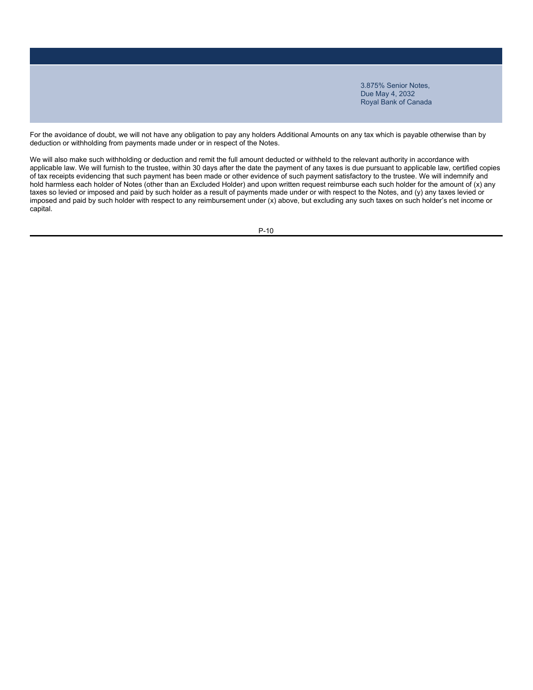For the avoidance of doubt, we will not have any obligation to pay any holders Additional Amounts on any tax which is payable otherwise than by deduction or withholding from payments made under or in respect of the Notes.

We will also make such withholding or deduction and remit the full amount deducted or withheld to the relevant authority in accordance with applicable law. We will furnish to the trustee, within 30 days after the date the payment of any taxes is due pursuant to applicable law, certified copies of tax receipts evidencing that such payment has been made or other evidence of such payment satisfactory to the trustee. We will indemnify and hold harmless each holder of Notes (other than an Excluded Holder) and upon written request reimburse each such holder for the amount of (x) any taxes so levied or imposed and paid by such holder as a result of payments made under or with respect to the Notes, and (y) any taxes levied or imposed and paid by such holder with respect to any reimbursement under (x) above, but excluding any such taxes on such holder's net income or capital.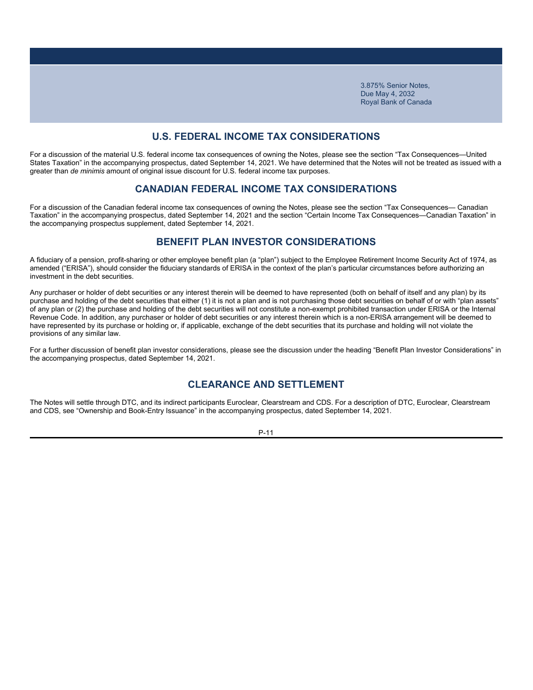### **U.S. FEDERAL INCOME TAX CONSIDERATIONS**

For a discussion of the material U.S. federal income tax consequences of owning the Notes, please see the section "Tax Consequences—United States Taxation" in the accompanying prospectus, dated September 14, 2021. We have determined that the Notes will not be treated as issued with a greater than *de minimis* amount of original issue discount for U.S. federal income tax purposes.

### **CANADIAN FEDERAL INCOME TAX CONSIDERATIONS**

For a discussion of the Canadian federal income tax consequences of owning the Notes, please see the section "Tax Consequences— Canadian Taxation" in the accompanying prospectus, dated September 14, 2021 and the section "Certain Income Tax Consequences—Canadian Taxation" in the accompanying prospectus supplement, dated September 14, 2021.

### **BENEFIT PLAN INVESTOR CONSIDERATIONS**

A fiduciary of a pension, profit-sharing or other employee benefit plan (a "plan") subject to the Employee Retirement Income Security Act of 1974, as amended ("ERISA"), should consider the fiduciary standards of ERISA in the context of the plan's particular circumstances before authorizing an investment in the debt securities.

Any purchaser or holder of debt securities or any interest therein will be deemed to have represented (both on behalf of itself and any plan) by its purchase and holding of the debt securities that either (1) it is not a plan and is not purchasing those debt securities on behalf of or with "plan assets" of any plan or (2) the purchase and holding of the debt securities will not constitute a non-exempt prohibited transaction under ERISA or the Internal Revenue Code. In addition, any purchaser or holder of debt securities or any interest therein which is a non-ERISA arrangement will be deemed to have represented by its purchase or holding or, if applicable, exchange of the debt securities that its purchase and holding will not violate the provisions of any similar law.

For a further discussion of benefit plan investor considerations, please see the discussion under the heading "Benefit Plan Investor Considerations" in the accompanying prospectus, dated September 14, 2021.

## **CLEARANCE AND SETTLEMENT**

The Notes will settle through DTC, and its indirect participants Euroclear, Clearstream and CDS. For a description of DTC, Euroclear, Clearstream and CDS, see "Ownership and Book-Entry Issuance" in the accompanying prospectus, dated September 14, 2021.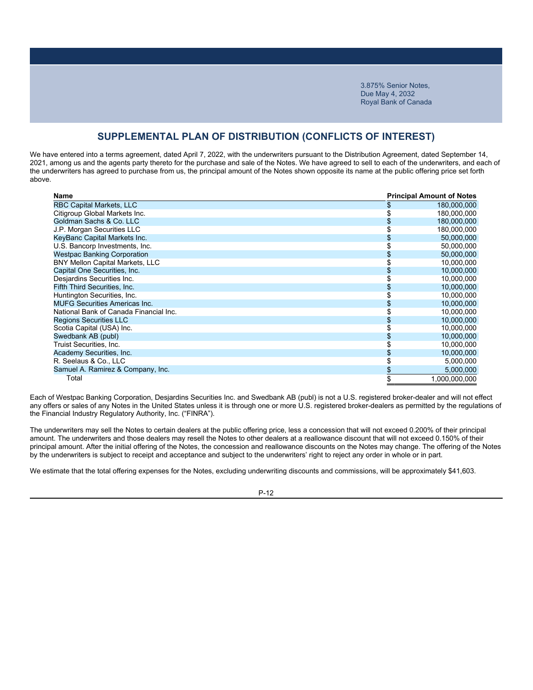### **SUPPLEMENTAL PLAN OF DISTRIBUTION (CONFLICTS OF INTEREST)**

We have entered into a terms agreement, dated April 7, 2022, with the underwriters pursuant to the Distribution Agreement, dated September 14, 2021, among us and the agents party thereto for the purchase and sale of the Notes. We have agreed to sell to each of the underwriters, and each of the underwriters has agreed to purchase from us, the principal amount of the Notes shown opposite its name at the public offering price set forth above.

| Name                                   | <b>Principal Amount of Notes</b> |
|----------------------------------------|----------------------------------|
| <b>RBC Capital Markets, LLC</b>        | \$<br>180,000,000                |
| Citigroup Global Markets Inc.          | 180,000,000                      |
| Goldman Sachs & Co. LLC                | 180,000,000                      |
| J.P. Morgan Securities LLC             | 180,000,000                      |
| KeyBanc Capital Markets Inc.           | 50,000,000                       |
| U.S. Bancorp Investments, Inc.         | 50,000,000                       |
| <b>Westpac Banking Corporation</b>     | 50,000,000                       |
| <b>BNY Mellon Capital Markets, LLC</b> | 10,000,000                       |
| Capital One Securities, Inc.           | 10,000,000                       |
| Desjardins Securities Inc.             | 10,000,000                       |
| Fifth Third Securities, Inc.           | 10,000,000                       |
| Huntington Securities, Inc.            | 10,000,000                       |
| <b>MUFG Securities Americas Inc.</b>   | 10,000,000                       |
| National Bank of Canada Financial Inc. | 10,000,000                       |
| <b>Regions Securities LLC</b>          | 10,000,000                       |
| Scotia Capital (USA) Inc.              | 10,000,000                       |
| Swedbank AB (publ)                     | 10,000,000                       |
| Truist Securities, Inc.                | 10,000,000                       |
| Academy Securities, Inc.               | 10,000,000                       |
| R. Seelaus & Co., LLC                  | 5,000,000                        |
| Samuel A. Ramirez & Company, Inc.      | 5,000,000                        |
| Total                                  | 1,000,000,000                    |

Each of Westpac Banking Corporation, Desjardins Securities Inc. and Swedbank AB (publ) is not a U.S. registered broker-dealer and will not effect any offers or sales of any Notes in the United States unless it is through one or more U.S. registered broker-dealers as permitted by the regulations of the Financial Industry Regulatory Authority, Inc. ("FINRA").

The underwriters may sell the Notes to certain dealers at the public offering price, less a concession that will not exceed 0.200% of their principal amount. The underwriters and those dealers may resell the Notes to other dealers at a reallowance discount that will not exceed 0.150% of their principal amount. After the initial offering of the Notes, the concession and reallowance discounts on the Notes may change. The offering of the Notes by the underwriters is subject to receipt and acceptance and subject to the underwriters' right to reject any order in whole or in part.

We estimate that the total offering expenses for the Notes, excluding underwriting discounts and commissions, will be approximately \$41,603.

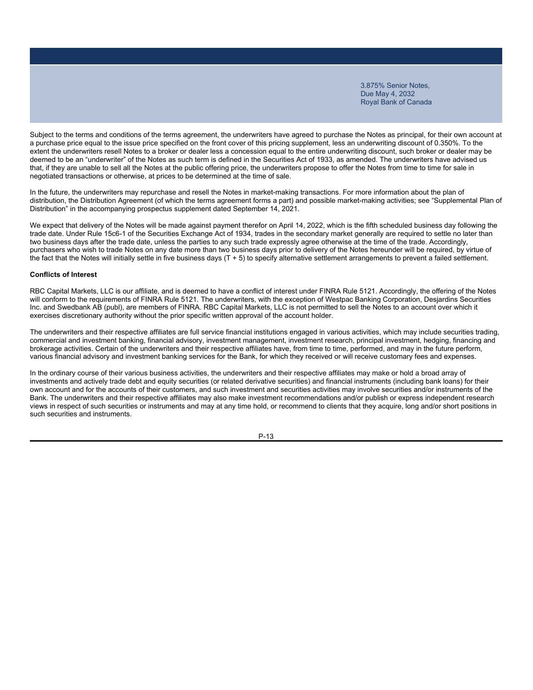Subject to the terms and conditions of the terms agreement, the underwriters have agreed to purchase the Notes as principal, for their own account at a purchase price equal to the issue price specified on the front cover of this pricing supplement, less an underwriting discount of 0.350%. To the extent the underwriters resell Notes to a broker or dealer less a concession equal to the entire underwriting discount, such broker or dealer may be deemed to be an "underwriter" of the Notes as such term is defined in the Securities Act of 1933, as amended. The underwriters have advised us that, if they are unable to sell all the Notes at the public offering price, the underwriters propose to offer the Notes from time to time for sale in negotiated transactions or otherwise, at prices to be determined at the time of sale.

In the future, the underwriters may repurchase and resell the Notes in market-making transactions. For more information about the plan of distribution, the Distribution Agreement (of which the terms agreement forms a part) and possible market-making activities; see "Supplemental Plan of Distribution" in the accompanying prospectus supplement dated September 14, 2021.

We expect that delivery of the Notes will be made against payment therefor on April 14, 2022, which is the fifth scheduled business day following the trade date. Under Rule 15c6-1 of the Securities Exchange Act of 1934, trades in the secondary market generally are required to settle no later than two business days after the trade date, unless the parties to any such trade expressly agree otherwise at the time of the trade. Accordingly, purchasers who wish to trade Notes on any date more than two business days prior to delivery of the Notes hereunder will be required, by virtue of the fact that the Notes will initially settle in five business days (T + 5) to specify alternative settlement arrangements to prevent a failed settlement.

#### **Conflicts of Interest**

RBC Capital Markets, LLC is our affiliate, and is deemed to have a conflict of interest under FINRA Rule 5121. Accordingly, the offering of the Notes will conform to the requirements of FINRA Rule 5121. The underwriters, with the exception of Westpac Banking Corporation, Desiardins Securities Inc. and Swedbank AB (publ), are members of FINRA. RBC Capital Markets, LLC is not permitted to sell the Notes to an account over which it exercises discretionary authority without the prior specific written approval of the account holder.

The underwriters and their respective affiliates are full service financial institutions engaged in various activities, which may include securities trading, commercial and investment banking, financial advisory, investment management, investment research, principal investment, hedging, financing and brokerage activities. Certain of the underwriters and their respective affiliates have, from time to time, performed, and may in the future perform, various financial advisory and investment banking services for the Bank, for which they received or will receive customary fees and expenses.

In the ordinary course of their various business activities, the underwriters and their respective affiliates may make or hold a broad array of investments and actively trade debt and equity securities (or related derivative securities) and financial instruments (including bank loans) for their own account and for the accounts of their customers, and such investment and securities activities may involve securities and/or instruments of the Bank. The underwriters and their respective affiliates may also make investment recommendations and/or publish or express independent research views in respect of such securities or instruments and may at any time hold, or recommend to clients that they acquire, long and/or short positions in such securities and instruments.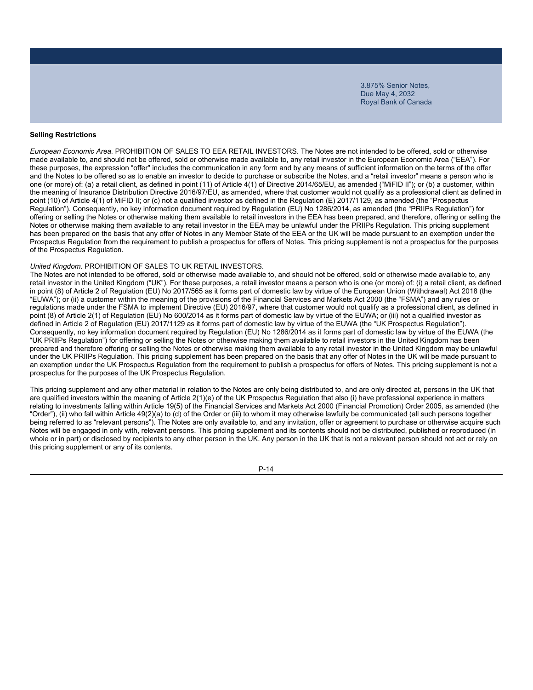#### **Selling Restrictions**

*European Economic Area.* PROHIBITION OF SALES TO EEA RETAIL INVESTORS. The Notes are not intended to be offered, sold or otherwise made available to, and should not be offered, sold or otherwise made available to, any retail investor in the European Economic Area ("EEA"). For these purposes, the expression "offer" includes the communication in any form and by any means of sufficient information on the terms of the offer and the Notes to be offered so as to enable an investor to decide to purchase or subscribe the Notes, and a "retail investor" means a person who is one (or more) of: (a) a retail client, as defined in point (11) of Article 4(1) of Directive 2014/65/EU, as amended ("MiFID II"); or (b) a customer, within the meaning of Insurance Distribution Directive 2016/97/EU, as amended, where that customer would not qualify as a professional client as defined in point (10) of Article 4(1) of MiFID II; or (c) not a qualified investor as defined in the Regulation (E) 2017/1129, as amended (the "Prospectus Regulation"). Consequently, no key information document required by Regulation (EU) No 1286/2014, as amended (the "PRIIPs Regulation") for offering or selling the Notes or otherwise making them available to retail investors in the EEA has been prepared, and therefore, offering or selling the Notes or otherwise making them available to any retail investor in the EEA may be unlawful under the PRIIPs Regulation. This pricing supplement has been prepared on the basis that any offer of Notes in any Member State of the EEA or the UK will be made pursuant to an exemption under the Prospectus Regulation from the requirement to publish a prospectus for offers of Notes. This pricing supplement is not a prospectus for the purposes of the Prospectus Regulation.

#### *United Kingdom*. PROHIBITION OF SALES TO UK RETAIL INVESTORS.

The Notes are not intended to be offered, sold or otherwise made available to, and should not be offered, sold or otherwise made available to, any retail investor in the United Kingdom ("UK"). For these purposes, a retail investor means a person who is one (or more) of: (i) a retail client, as defined in point (8) of Article 2 of Regulation (EU) No 2017/565 as it forms part of domestic law by virtue of the European Union (Withdrawal) Act 2018 (the "EUWA"); or (ii) a customer within the meaning of the provisions of the Financial Services and Markets Act 2000 (the "FSMA") and any rules or regulations made under the FSMA to implement Directive (EU) 2016/97, where that customer would not qualify as a professional client, as defined in point (8) of Article 2(1) of Regulation (EU) No 600/2014 as it forms part of domestic law by virtue of the EUWA; or (iii) not a qualified investor as defined in Article 2 of Regulation (EU) 2017/1129 as it forms part of domestic law by virtue of the EUWA (the "UK Prospectus Regulation"). Consequently, no key information document required by Regulation (EU) No 1286/2014 as it forms part of domestic law by virtue of the EUWA (the "UK PRIIPs Regulation") for offering or selling the Notes or otherwise making them available to retail investors in the United Kingdom has been prepared and therefore offering or selling the Notes or otherwise making them available to any retail investor in the United Kingdom may be unlawful under the UK PRIIPs Regulation. This pricing supplement has been prepared on the basis that any offer of Notes in the UK will be made pursuant to an exemption under the UK Prospectus Regulation from the requirement to publish a prospectus for offers of Notes. This pricing supplement is not a prospectus for the purposes of the UK Prospectus Regulation.

This pricing supplement and any other material in relation to the Notes are only being distributed to, and are only directed at, persons in the UK that are qualified investors within the meaning of Article 2(1)(e) of the UK Prospectus Regulation that also (i) have professional experience in matters relating to investments falling within Article 19(5) of the Financial Services and Markets Act 2000 (Financial Promotion) Order 2005, as amended (the "Order"), (ii) who fall within Article 49(2)(a) to (d) of the Order or (iii) to whom it may otherwise lawfully be communicated (all such persons together being referred to as "relevant persons"). The Notes are only available to, and any invitation, offer or agreement to purchase or otherwise acquire such Notes will be engaged in only with, relevant persons. This pricing supplement and its contents should not be distributed, published or reproduced (in whole or in part) or disclosed by recipients to any other person in the UK. Any person in the UK that is not a relevant person should not act or rely on this pricing supplement or any of its contents.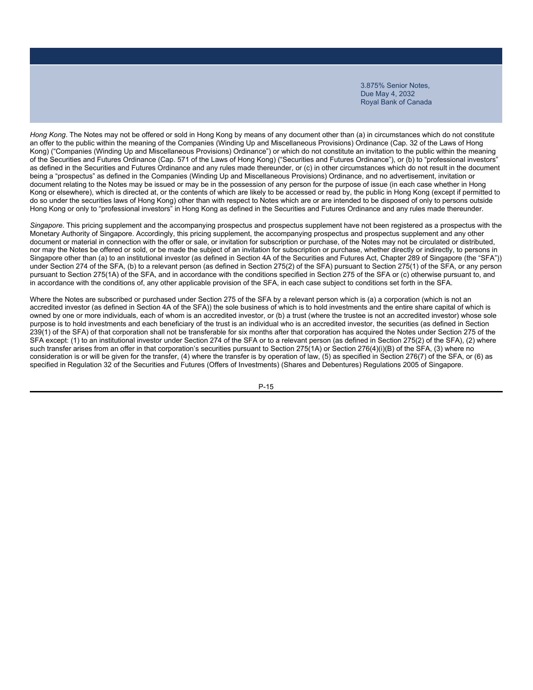*Hong Kong*. The Notes may not be offered or sold in Hong Kong by means of any document other than (a) in circumstances which do not constitute an offer to the public within the meaning of the Companies (Winding Up and Miscellaneous Provisions) Ordinance (Cap. 32 of the Laws of Hong Kong) ("Companies (Winding Up and Miscellaneous Provisions) Ordinance") or which do not constitute an invitation to the public within the meaning of the Securities and Futures Ordinance (Cap. 571 of the Laws of Hong Kong) ("Securities and Futures Ordinance"), or (b) to "professional investors" as defined in the Securities and Futures Ordinance and any rules made thereunder, or (c) in other circumstances which do not result in the document being a "prospectus" as defined in the Companies (Winding Up and Miscellaneous Provisions) Ordinance, and no advertisement, invitation or document relating to the Notes may be issued or may be in the possession of any person for the purpose of issue (in each case whether in Hong Kong or elsewhere), which is directed at, or the contents of which are likely to be accessed or read by, the public in Hong Kong (except if permitted to do so under the securities laws of Hong Kong) other than with respect to Notes which are or are intended to be disposed of only to persons outside Hong Kong or only to "professional investors" in Hong Kong as defined in the Securities and Futures Ordinance and any rules made thereunder.

*Singapore*. This pricing supplement and the accompanying prospectus and prospectus supplement have not been registered as a prospectus with the Monetary Authority of Singapore. Accordingly, this pricing supplement, the accompanying prospectus and prospectus supplement and any other document or material in connection with the offer or sale, or invitation for subscription or purchase, of the Notes may not be circulated or distributed, nor may the Notes be offered or sold, or be made the subject of an invitation for subscription or purchase, whether directly or indirectly, to persons in Singapore other than (a) to an institutional investor (as defined in Section 4A of the Securities and Futures Act, Chapter 289 of Singapore (the "SFA")) under Section 274 of the SFA, (b) to a relevant person (as defined in Section 275(2) of the SFA) pursuant to Section 275(1) of the SFA, or any person pursuant to Section 275(1A) of the SFA, and in accordance with the conditions specified in Section 275 of the SFA or (c) otherwise pursuant to, and in accordance with the conditions of, any other applicable provision of the SFA, in each case subject to conditions set forth in the SFA.

Where the Notes are subscribed or purchased under Section 275 of the SFA by a relevant person which is (a) a corporation (which is not an accredited investor (as defined in Section 4A of the SFA)) the sole business of which is to hold investments and the entire share capital of which is owned by one or more individuals, each of whom is an accredited investor, or (b) a trust (where the trustee is not an accredited investor) whose sole purpose is to hold investments and each beneficiary of the trust is an individual who is an accredited investor, the securities (as defined in Section 239(1) of the SFA) of that corporation shall not be transferable for six months after that corporation has acquired the Notes under Section 275 of the SFA except: (1) to an institutional investor under Section 274 of the SFA or to a relevant person (as defined in Section 275(2) of the SFA), (2) where such transfer arises from an offer in that corporation's securities pursuant to Section 275(1A) or Section 276(4)(i)(B) of the SFA, (3) where no consideration is or will be given for the transfer, (4) where the transfer is by operation of law, (5) as specified in Section 276(7) of the SFA, or (6) as specified in Regulation 32 of the Securities and Futures (Offers of Investments) (Shares and Debentures) Regulations 2005 of Singapore.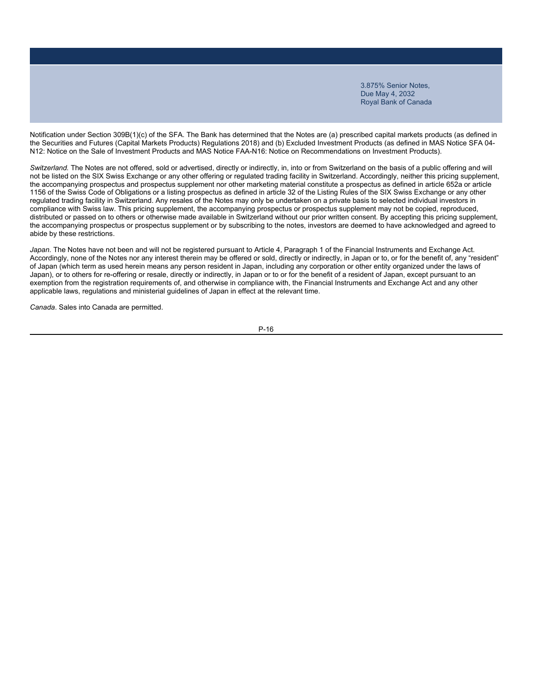Notification under Section 309B(1)(c) of the SFA. The Bank has determined that the Notes are (a) prescribed capital markets products (as defined in the Securities and Futures (Capital Markets Products) Regulations 2018) and (b) Excluded Investment Products (as defined in MAS Notice SFA 04- N12: Notice on the Sale of Investment Products and MAS Notice FAA-N16: Notice on Recommendations on Investment Products).

*Switzerland.* The Notes are not offered, sold or advertised, directly or indirectly, in, into or from Switzerland on the basis of a public offering and will not be listed on the SIX Swiss Exchange or any other offering or regulated trading facility in Switzerland. Accordingly, neither this pricing supplement, the accompanying prospectus and prospectus supplement nor other marketing material constitute a prospectus as defined in article 652a or article 1156 of the Swiss Code of Obligations or a listing prospectus as defined in article 32 of the Listing Rules of the SIX Swiss Exchange or any other regulated trading facility in Switzerland. Any resales of the Notes may only be undertaken on a private basis to selected individual investors in compliance with Swiss law. This pricing supplement, the accompanying prospectus or prospectus supplement may not be copied, reproduced, distributed or passed on to others or otherwise made available in Switzerland without our prior written consent. By accepting this pricing supplement, the accompanying prospectus or prospectus supplement or by subscribing to the notes, investors are deemed to have acknowledged and agreed to abide by these restrictions.

Japan. The Notes have not been and will not be registered pursuant to Article 4, Paragraph 1 of the Financial Instruments and Exchange Act. Accordingly, none of the Notes nor any interest therein may be offered or sold, directly or indirectly, in Japan or to, or for the benefit of, any "resident" of Japan (which term as used herein means any person resident in Japan, including any corporation or other entity organized under the laws of Japan), or to others for re-offering or resale, directly or indirectly, in Japan or to or for the benefit of a resident of Japan, except pursuant to an exemption from the registration requirements of, and otherwise in compliance with, the Financial Instruments and Exchange Act and any other applicable laws, regulations and ministerial guidelines of Japan in effect at the relevant time.

*Canada*. Sales into Canada are permitted.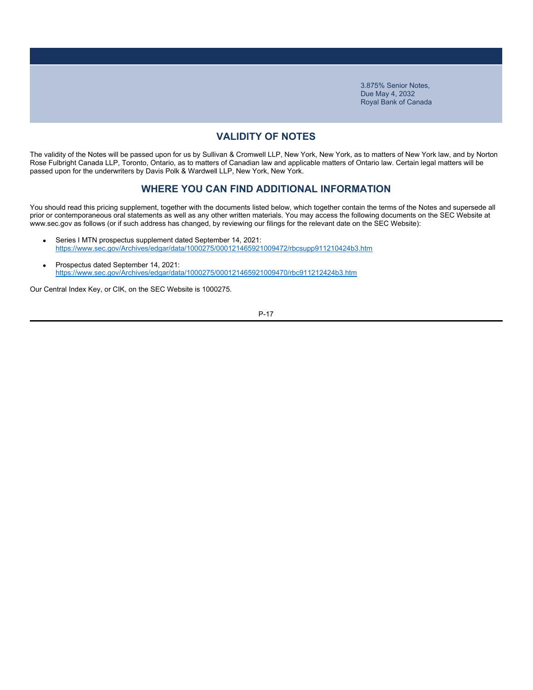# **VALIDITY OF NOTES**

The validity of the Notes will be passed upon for us by Sullivan & Cromwell LLP, New York, New York, as to matters of New York law, and by Norton Rose Fulbright Canada LLP, Toronto, Ontario, as to matters of Canadian law and applicable matters of Ontario law. Certain legal matters will be passed upon for the underwriters by Davis Polk & Wardwell LLP, New York, New York.

### **WHERE YOU CAN FIND ADDITIONAL INFORMATION**

You should read this pricing supplement, together with the documents listed below, which together contain the terms of the Notes and supersede all prior or contemporaneous oral statements as well as any other written materials. You may access the following documents on the SEC Website at www.sec.gov as follows (or if such address has changed, by reviewing our filings for the relevant date on the SEC Website):

- Series I MTN prospectus supplement dated September 14, 2021: https://www.sec.gov/Archives/edgar/data/1000275/000121465921009472/rbcsupp911210424b3.htm
- Prospectus dated September 14, 2021: https://www.sec.gov/Archives/edgar/data/1000275/000121465921009470/rbc911212424b3.htm

Our Central Index Key, or CIK, on the SEC Website is 1000275.